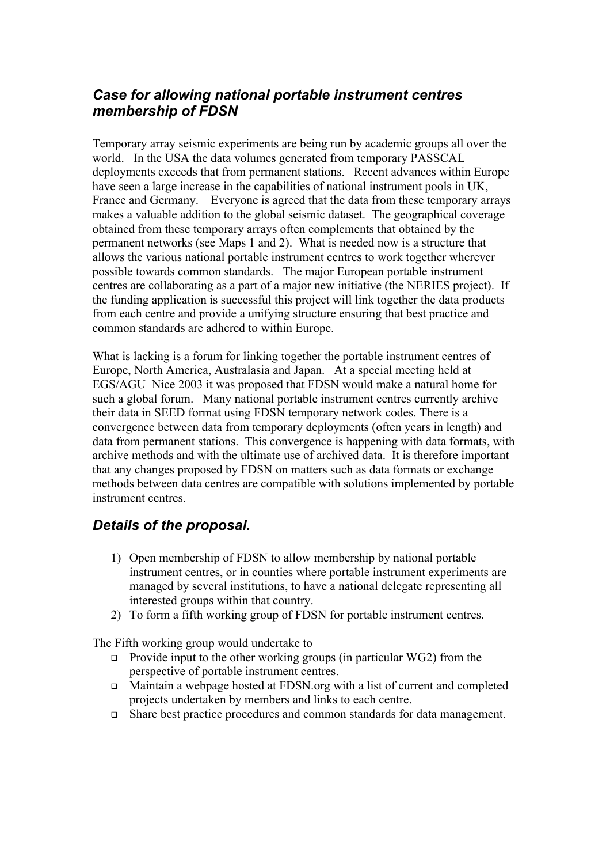## *Case for allowing national portable instrument centres membership of FDSN*

Temporary array seismic experiments are being run by academic groups all over the world. In the USA the data volumes generated from temporary PASSCAL deployments exceeds that from permanent stations. Recent advances within Europe have seen a large increase in the capabilities of national instrument pools in UK. France and Germany. Everyone is agreed that the data from these temporary arrays makes a valuable addition to the global seismic dataset. The geographical coverage obtained from these temporary arrays often complements that obtained by the permanent networks (see Maps 1 and 2). What is needed now is a structure that allows the various national portable instrument centres to work together wherever possible towards common standards. The major European portable instrument centres are collaborating as a part of a major new initiative (the NERIES project). If the funding application is successful this project will link together the data products from each centre and provide a unifying structure ensuring that best practice and common standards are adhered to within Europe.

What is lacking is a forum for linking together the portable instrument centres of Europe, North America, Australasia and Japan. At a special meeting held at EGS/AGU Nice 2003 it was proposed that FDSN would make a natural home for such a global forum. Many national portable instrument centres currently archive their data in SEED format using FDSN temporary network codes. There is a convergence between data from temporary deployments (often years in length) and data from permanent stations. This convergence is happening with data formats, with archive methods and with the ultimate use of archived data. It is therefore important that any changes proposed by FDSN on matters such as data formats or exchange methods between data centres are compatible with solutions implemented by portable instrument centres.

## *Details of the proposal.*

- 1) Open membership of FDSN to allow membership by national portable instrument centres, or in counties where portable instrument experiments are managed by several institutions, to have a national delegate representing all interested groups within that country.
- 2) To form a fifth working group of FDSN for portable instrument centres.

The Fifth working group would undertake to

- $\Box$  Provide input to the other working groups (in particular WG2) from the perspective of portable instrument centres.
- <sup>q</sup> Maintain a webpage hosted at FDSN.org with a list of current and completed projects undertaken by members and links to each centre.
- <sup>q</sup> Share best practice procedures and common standards for data management.